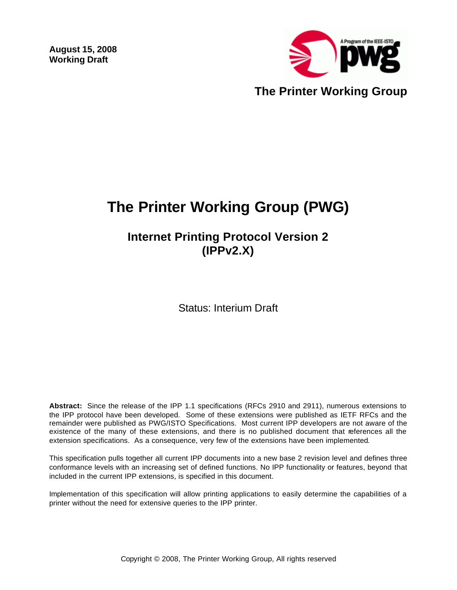**August 15, 2008 Working Draft** 



# **The Printer Working Group (PWG)**

**Internet Printing Protocol Version 2 (IPPv2.X)**

Status: Interium Draft

**Abstract:** Since the release of the IPP 1.1 specifications (RFCs 2910 and 2911), numerous extensions to the IPP protocol have been developed. Some of these extensions were published as IETF RFCs and the remainder were published as PWG/ISTO Specifications. Most current IPP developers are not aware of the existence of the many of these extensions, and there is no published document that references all the extension specifications. As a consequence, very few of the extensions have been implemented.

This specification pulls together all current IPP documents into a new base 2 revision level and defines three conformance levels with an increasing set of defined functions. No IPP functionality or features, beyond that included in the current IPP extensions, is specified in this document.

Implementation of this specification will allow printing applications to easily determine the capabilities of a printer without the need for extensive queries to the IPP printer.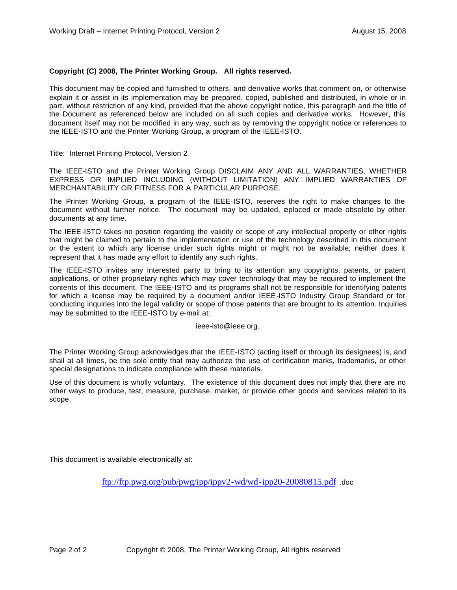#### **Copyright (C) 2008, The Printer Working Group. All rights reserved.**

This document may be copied and furnished to others, and derivative works that comment on, or otherwise explain it or assist in its implementation may be prepared, copied, published and distributed, in whole or in part, without restriction of any kind, provided that the above copyright notice, this paragraph and the title of the Document as referenced below are included on all such copies and derivative works. However, this document itself may not be modified in any way, such as by removing the copyright notice or references to the IEEE-ISTO and the Printer Working Group, a program of the IEEE-ISTO.

Title: Internet Printing Protocol, Version 2

The IEEE-ISTO and the Printer Working Group DISCLAIM ANY AND ALL WARRANTIES, WHETHER EXPRESS OR IMPLIED INCLUDING (WITHOUT LIMITATION) ANY IMPLIED WARRANTIES OF MERCHANTABILITY OR FITNESS FOR A PARTICULAR PURPOSE.

The Printer Working Group, a program of the IEEE-ISTO, reserves the right to make changes to the document without further notice. The document may be updated, eplaced or made obsolete by other documents at any time.

The IEEE-ISTO takes no position regarding the validity or scope of any intellectual property or other rights that might be claimed to pertain to the implementation or use of the technology described in this document or the extent to which any license under such rights might or might not be available; neither does it represent that it has made any effort to identify any such rights.

The IEEE-ISTO invites any interested party to bring to its attention any copyrights, patents, or patent applications, or other proprietary rights which may cover technology that may be required to implement the contents of this document. The IEEE-ISTO and its programs shall not be responsible for identifying patents for which a license may be required by a document and/or IEEE-ISTO Industry Group Standard or for conducting inquiries into the legal validity or scope of those patents that are brought to its attention. Inquiries may be submitted to the IEEE-ISTO by e-mail at:

ieee-isto@ieee.org.

The Printer Working Group acknowledges that the IEEE-ISTO (acting itself or through its designees) is, and shall at all times, be the sole entity that may authorize the use of certification marks, trademarks, or other special designations to indicate compliance with these materials.

Use of this document is wholly voluntary. The existence of this document does not imply that there are no other ways to produce, test, measure, purchase, market, or provide other goods and services related to its scope.

This document is available electronically at:

ftp://ftp.pwg.org/pub/pwg/ipp/ippv2-wd/wd-ipp20-20080815.pdf .doc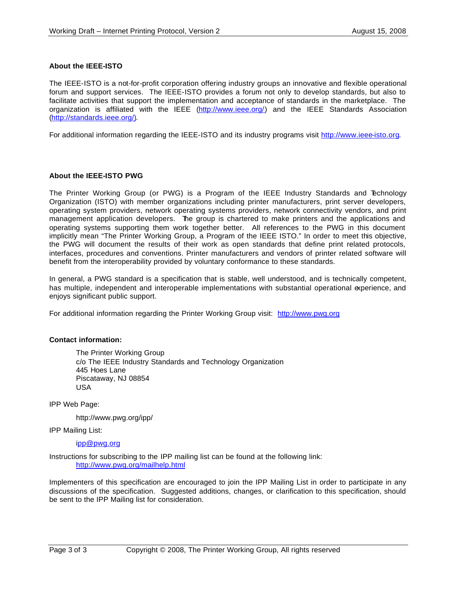#### **About the IEEE-ISTO**

The IEEE-ISTO is a not-for-profit corporation offering industry groups an innovative and flexible operational forum and support services. The IEEE-ISTO provides a forum not only to develop standards, but also to facilitate activities that support the implementation and acceptance of standards in the marketplace. The organization is affiliated with the IEEE (http://www.ieee.org/) and the IEEE Standards Association (http://standards.ieee.org/).

For additional information regarding the IEEE-ISTO and its industry programs visit http://www.ieee-isto.org.

#### **About the IEEE-ISTO PWG**

The Printer Working Group (or PWG) is a Program of the IEEE Industry Standards and Technology Organization (ISTO) with member organizations including printer manufacturers, print server developers, operating system providers, network operating systems providers, network connectivity vendors, and print management application developers. The group is chartered to make printers and the applications and operating systems supporting them work together better. All references to the PWG in this document implicitly mean "The Printer Working Group, a Program of the IEEE ISTO." In order to meet this objective, the PWG will document the results of their work as open standards that define print related protocols, interfaces, procedures and conventions. Printer manufacturers and vendors of printer related software will benefit from the interoperability provided by voluntary conformance to these standards.

In general, a PWG standard is a specification that is stable, well understood, and is technically competent, has multiple, independent and interoperable implementations with substantial operational experience, and enjoys significant public support.

For additional information regarding the Printer Working Group visit: http://www.pwg.org

#### **Contact information:**

The Printer Working Group c/o The IEEE Industry Standards and Technology Organization 445 Hoes Lane Piscataway, NJ 08854 USA

IPP Web Page:

http://www.pwg.org/ipp/

IPP Mailing List:

ipp@pwg.org

Instructions for subscribing to the IPP mailing list can be found at the following link: http://www.pwg.org/mailhelp.html

Implementers of this specification are encouraged to join the IPP Mailing List in order to participate in any discussions of the specification. Suggested additions, changes, or clarification to this specification, should be sent to the IPP Mailing list for consideration.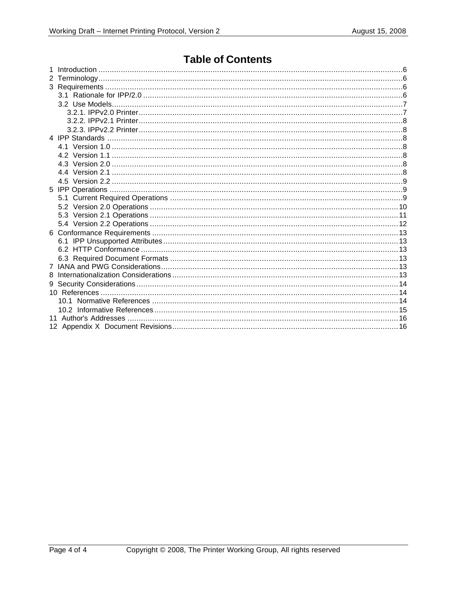# **Table of Contents**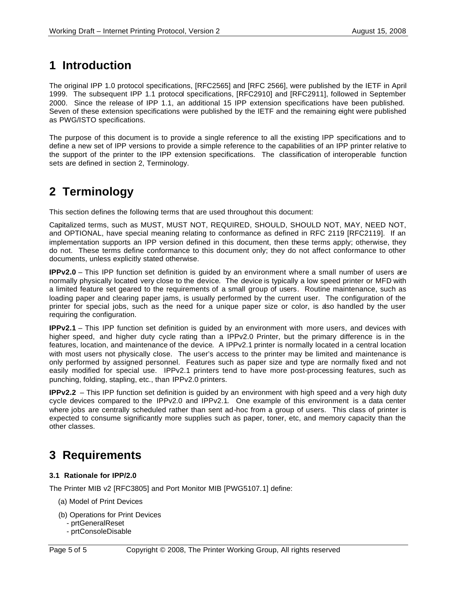# **1 Introduction**

The original IPP 1.0 protocol specifications, [RFC2565] and [RFC 2566], were published by the IETF in April 1999. The subsequent IPP 1.1 protocol specifications, [RFC2910] and [RFC2911], followed in September 2000. Since the release of IPP 1.1, an additional 15 IPP extension specifications have been published. Seven of these extension specifications were published by the IETF and the remaining eight were published as PWG/ISTO specifications.

The purpose of this document is to provide a single reference to all the existing IPP specifications and to define a new set of IPP versions to provide a simple reference to the capabilities of an IPP printer relative to the support of the printer to the IPP extension specifications. The classification of interoperable function sets are defined in section 2, Terminology.

# **2 Terminology**

This section defines the following terms that are used throughout this document:

Capitalized terms, such as MUST, MUST NOT, REQUIRED, SHOULD, SHOULD NOT, MAY, NEED NOT, and OPTIONAL, have special meaning relating to conformance as defined in RFC 2119 [RFC2119]. If an implementation supports an IPP version defined in this document, then these terms apply; otherwise, they do not. These terms define conformance to this document only; they do not affect conformance to other documents, unless explicitly stated otherwise.

**IPPv2.0** – This IPP function set definition is guided by an environment where a small number of users are normally physically located very close to the device. The device is typically a low speed printer or MFD with a limited feature set geared to the requirements of a small group of users. Routine maintenance, such as loading paper and clearing paper jams, is usually performed by the current user. The configuration of the printer for special jobs, such as the need for a unique paper size or color, is also handled by the user requiring the configuration.

**IPPv2.1** – This IPP function set definition is guided by an environment with more users, and devices with higher speed, and higher duty cycle rating than a IPPv2.0 Printer, but the primary difference is in the features, location, and maintenance of the device. A IPPv2.1 printer is normally located in a central location with most users not physically close. The user's access to the printer may be limited and maintenance is only performed by assigned personnel. Features such as paper size and type are normally fixed and not easily modified for special use. IPPv2.1 printers tend to have more post-processing features, such as punching, folding, stapling, etc., than IPPv2.0 printers.

**IPPv2.2** – This IPP function set definition is guided by an environment with high speed and a very high duty cycle devices compared to the IPPv2.0 and IPPv2.1. One example of this environment is a data center where jobs are centrally scheduled rather than sent ad-hoc from a group of users. This class of printer is expected to consume significantly more supplies such as paper, toner, etc, and memory capacity than the other classes.

# **3 Requirements**

# **3.1 Rationale for IPP/2.0**

The Printer MIB v2 [RFC3805] and Port Monitor MIB [PWG5107.1] define:

- (a) Model of Print Devices
- (b) Operations for Print Devices
	- prtGeneralReset
	- prtConsoleDisable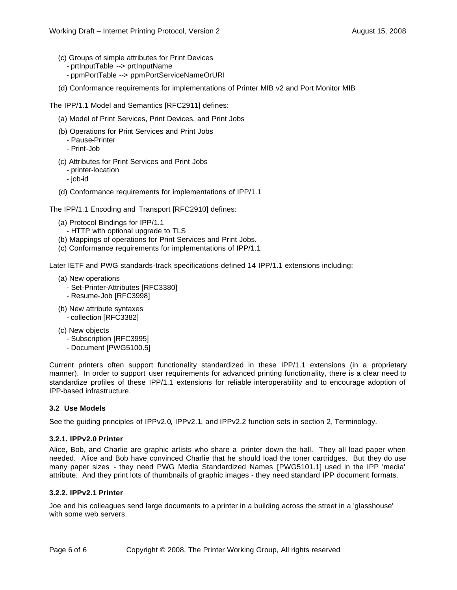- (c) Groups of simple attributes for Print Devices
	- prtInputTable --> prtInputName
	- ppmPortTable --> ppmPortServiceNameOrURI
- (d) Conformance requirements for implementations of Printer MIB v2 and Port Monitor MIB

The IPP/1.1 Model and Semantics [RFC2911] defines:

- (a) Model of Print Services, Print Devices, and Print Jobs
- (b) Operations for Print Services and Print Jobs
	- Pause-Printer
	- Print-Job
- (c) Attributes for Print Services and Print Jobs
	- printer-location
	- job-id
- (d) Conformance requirements for implementations of IPP/1.1

The IPP/1.1 Encoding and Transport [RFC2910] defines:

- (a) Protocol Bindings for IPP/1.1
	- HTTP with optional upgrade to TLS
- (b) Mappings of operations for Print Services and Print Jobs.
- (c) Conformance requirements for implementations of IPP/1.1

Later IETF and PWG standards-track specifications defined 14 IPP/1.1 extensions including:

- (a) New operations
	- Set-Printer-Attributes [RFC3380]
	- Resume-Job [RFC3998]
- (b) New attribute syntaxes - collection [RFC3382]
- (c) New objects
	- Subscription [RFC3995]
	- Document [PWG5100.5]

Current printers often support functionality standardized in these IPP/1.1 extensions (in a proprietary manner). In order to support user requirements for advanced printing functionality, there is a clear need to standardize profiles of these IPP/1.1 extensions for reliable interoperability and to encourage adoption of IPP-based infrastructure.

# **3.2 Use Models**

See the guiding principles of IPPv2.0, IPPv2.1, and IPPv2.2 function sets in section 2, Terminology.

# **3.2.1. IPPv2.0 Printer**

Alice, Bob, and Charlie are graphic artists who share a printer down the hall. They all load paper when needed. Alice and Bob have convinced Charlie that he should load the toner cartridges. But they do use many paper sizes - they need PWG Media Standardized Names [PWG5101.1] used in the IPP 'media' attribute. And they print lots of thumbnails of graphic images - they need standard IPP document formats.

# **3.2.2. IPPv2.1 Printer**

Joe and his colleagues send large documents to a printer in a building across the street in a 'glasshouse' with some web servers.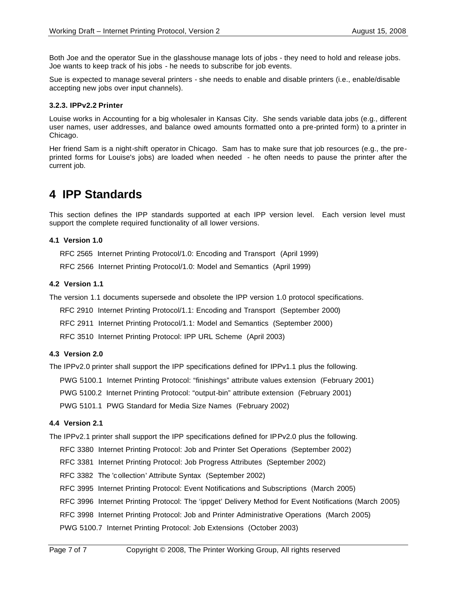Both Joe and the operator Sue in the glasshouse manage lots of jobs - they need to hold and release jobs. Joe wants to keep track of his jobs - he needs to subscribe for job events.

Sue is expected to manage several printers - she needs to enable and disable printers (i.e., enable/disable accepting new jobs over input channels).

#### **3.2.3. IPPv2.2 Printer**

Louise works in Accounting for a big wholesaler in Kansas City. She sends variable data jobs (e.g., different user names, user addresses, and balance owed amounts formatted onto a pre-printed form) to a printer in Chicago.

Her friend Sam is a night-shift operator in Chicago. Sam has to make sure that job resources (e.g., the preprinted forms for Louise's jobs) are loaded when needed - he often needs to pause the printer after the current job.

# **4 IPP Standards**

This section defines the IPP standards supported at each IPP version level. Each version level must support the complete required functionality of all lower versions.

#### **4.1 Version 1.0**

RFC 2565 Internet Printing Protocol/1.0: Encoding and Transport (April 1999)

RFC 2566 Internet Printing Protocol/1.0: Model and Semantics (April 1999)

#### **4.2 Version 1.1**

The version 1.1 documents supersede and obsolete the IPP version 1.0 protocol specifications.

RFC 2910 Internet Printing Protocol/1.1: Encoding and Transport (September 2000)

RFC 2911 Internet Printing Protocol/1.1: Model and Semantics (September 2000)

RFC 3510 Internet Printing Protocol: IPP URL Scheme (April 2003)

#### **4.3 Version 2.0**

The IPPv2.0 printer shall support the IPP specifications defined for IPPv1.1 plus the following.

PWG 5100.1 Internet Printing Protocol: "finishings" attribute values extension (February 2001)

PWG 5100.2 Internet Printing Protocol: "output-bin" attribute extension (February 2001)

PWG 5101.1 PWG Standard for Media Size Names (February 2002)

#### **4.4 Version 2.1**

The IPPv2.1 printer shall support the IPP specifications defined for IPPv2.0 plus the following.

RFC 3380 Internet Printing Protocol: Job and Printer Set Operations (September 2002)

RFC 3381 Internet Printing Protocol: Job Progress Attributes (September 2002)

RFC 3382 The 'collection' Attribute Syntax (September 2002)

RFC 3995 Internet Printing Protocol: Event Notifications and Subscriptions (March 2005)

RFC 3996 Internet Printing Protocol: The 'ippget' Delivery Method for Event Notifications (March 2005)

RFC 3998 Internet Printing Protocol: Job and Printer Administrative Operations (March 2005)

PWG 5100.7 Internet Printing Protocol: Job Extensions (October 2003)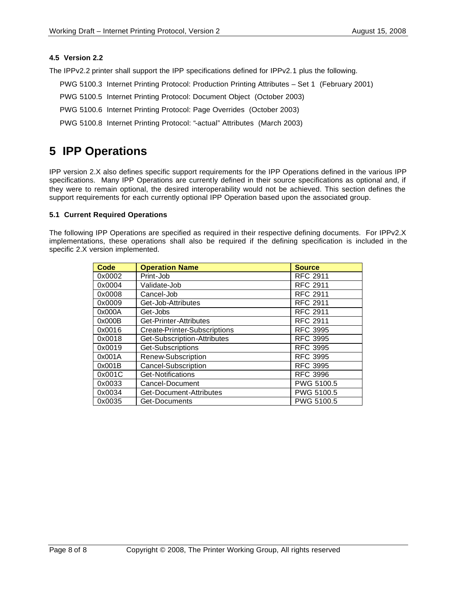# **4.5 Version 2.2**

The IPPv2.2 printer shall support the IPP specifications defined for IPPv2.1 plus the following.

- PWG 5100.3 Internet Printing Protocol: Production Printing Attributes Set 1 (February 2001)
- PWG 5100.5 Internet Printing Protocol: Document Object (October 2003)
- PWG 5100.6 Internet Printing Protocol: Page Overrides (October 2003)
- PWG 5100.8 Internet Printing Protocol: "-actual" Attributes (March 2003)

# **5 IPP Operations**

IPP version 2.X also defines specific support requirements for the IPP Operations defined in the various IPP specifications. Many IPP Operations are currently defined in their source specifications as optional and, if they were to remain optional, the desired interoperability would not be achieved. This section defines the support requirements for each currently optional IPP Operation based upon the associated group.

# **5.1 Current Required Operations**

The following IPP Operations are specified as required in their respective defining documents. For IPPv2.X implementations, these operations shall also be required if the defining specification is included in the specific 2.X version implemented.

| <b>Code</b> | <b>Operation Name</b>        | <b>Source</b>   |
|-------------|------------------------------|-----------------|
| 0x0002      | Print-Job                    | <b>RFC 2911</b> |
| 0x0004      | Validate-Job                 | <b>RFC 2911</b> |
| 0x0008      | Cancel-Job                   | <b>RFC 2911</b> |
| 0x0009      | Get-Job-Attributes           | <b>RFC 2911</b> |
| 0x000A      | Get-Jobs                     | <b>RFC 2911</b> |
| 0x000B      | Get-Printer-Attributes       | <b>RFC 2911</b> |
| 0x0016      | Create-Printer-Subscriptions | <b>RFC 3995</b> |
| 0x0018      | Get-Subscription-Attributes  | <b>RFC 3995</b> |
| 0x0019      | Get-Subscriptions            | <b>RFC 3995</b> |
| 0x001A      | Renew-Subscription           | <b>RFC 3995</b> |
| 0x001B      | Cancel-Subscription          | <b>RFC 3995</b> |
| 0x001C      | Get-Notifications            | <b>RFC 3996</b> |
| 0x0033      | Cancel-Document              | PWG 5100.5      |
| 0x0034      | Get-Document-Attributes      | PWG 5100.5      |
| 0x0035      | Get-Documents                | PWG 5100.5      |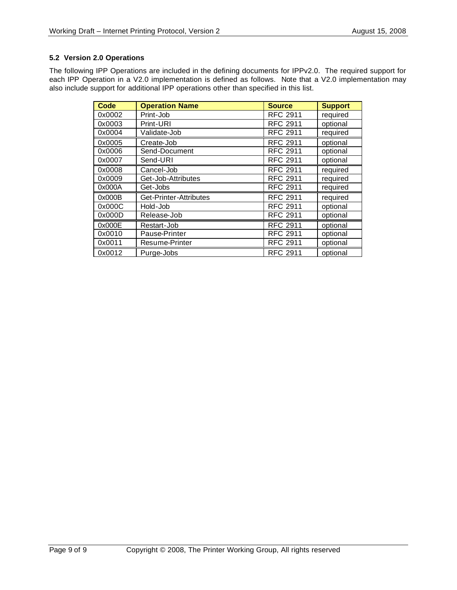# **5.2 Version 2.0 Operations**

The following IPP Operations are included in the defining documents for IPPv2.0. The required support for each IPP Operation in a V2.0 implementation is defined as follows. Note that a V2.0 implementation may also include support for additional IPP operations other than specified in this list.

| <b>Code</b> | <b>Operation Name</b>  | <b>Source</b>   | <b>Support</b> |
|-------------|------------------------|-----------------|----------------|
| 0x0002      | Print-Job              | <b>RFC 2911</b> | required       |
| 0x0003      | Print-URI              | <b>RFC 2911</b> | optional       |
| 0x0004      | Validate-Job           | <b>RFC 2911</b> | required       |
| 0x0005      | Create-Job             | <b>RFC 2911</b> | optional       |
| 0x0006      | Send-Document          | <b>RFC 2911</b> | optional       |
| 0x0007      | Send-URI               | <b>RFC 2911</b> | optional       |
| 0x0008      | Cancel-Job             | <b>RFC 2911</b> | required       |
| 0x0009      | Get-Job-Attributes     | <b>RFC 2911</b> | required       |
| 0x000A      | Get-Jobs               | <b>RFC 2911</b> | required       |
| 0x000B      | Get-Printer-Attributes | <b>RFC 2911</b> | required       |
| 0x000C      | Hold-Job               | <b>RFC 2911</b> | optional       |
| 0x000D      | Release-Job            | <b>RFC 2911</b> | optional       |
| 0x000E      | Restart-Job            | <b>RFC 2911</b> | optional       |
| 0x0010      | Pause-Printer          | <b>RFC 2911</b> | optional       |
| 0x0011      | Resume-Printer         | <b>RFC 2911</b> | optional       |
| 0x0012      | Purge-Jobs             | <b>RFC 2911</b> | optional       |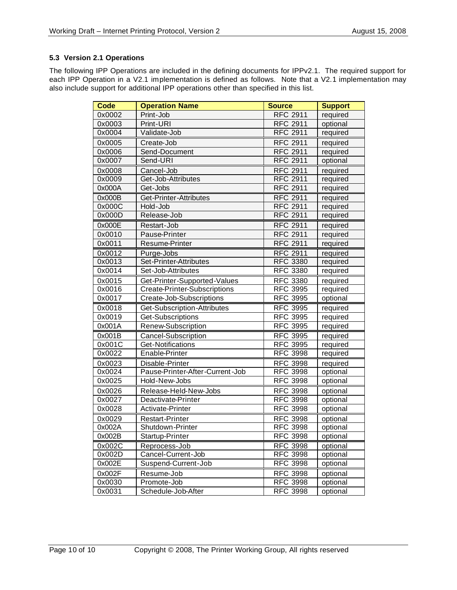# **5.3 Version 2.1 Operations**

The following IPP Operations are included in the defining documents for IPPv2.1. The required support for each IPP Operation in a V2.1 implementation is defined as follows. Note that a V2.1 implementation may also include support for additional IPP operations other than specified in this list.

| <b>Code</b>         | <b>Operation Name</b>           | <b>Source</b>   | <b>Support</b> |
|---------------------|---------------------------------|-----------------|----------------|
| 0x0002              | Print-Job                       | <b>RFC 2911</b> | required       |
| 0x0003              | Print-URI                       | <b>RFC 2911</b> | optional       |
| 0x0004              | Validate-Job                    | <b>RFC 2911</b> | required       |
| 0x0005              | Create-Job                      | <b>RFC 2911</b> | required       |
| 0x0006              | Send-Document                   | <b>RFC 2911</b> | required       |
| 0x0007              | Send-URI                        | <b>RFC 2911</b> | optional       |
| 0x0008              | Cancel-Job                      | <b>RFC 2911</b> | required       |
| 0x0009              | Get-Job-Attributes              | <b>RFC 2911</b> | required       |
| 0x000A              | Get-Jobs                        | <b>RFC 2911</b> | required       |
| 0x000B              | Get-Printer-Attributes          | <b>RFC 2911</b> | required       |
| 0x000C              | Hold-Job                        | <b>RFC 2911</b> | required       |
| 0x000D              | Release-Job                     | <b>RFC 2911</b> | required       |
| 0x000E              | Restart-Job                     | <b>RFC 2911</b> | required       |
| 0x0010              | Pause-Printer                   | <b>RFC 2911</b> | required       |
| 0x0011              | Resume-Printer                  | <b>RFC 2911</b> | required       |
| 0x0012              | Purge-Jobs                      | <b>RFC 2911</b> | required       |
| 0x0013              | Set-Printer-Attributes          | <b>RFC 3380</b> | required       |
| $0x001\overline{4}$ | Set-Job-Attributes              | <b>RFC 3380</b> | required       |
| 0x0015              | Get-Printer-Supported-Values    | <b>RFC 3380</b> | required       |
| 0x0016              | Create-Printer-Subscriptions    | <b>RFC 3995</b> | required       |
| 0x0017              | Create-Job-Subscriptions        | <b>RFC 3995</b> | optional       |
| 0x0018              | Get-Subscription-Attributes     | <b>RFC 3995</b> | required       |
| 0x0019              | Get-Subscriptions               | <b>RFC 3995</b> | required       |
| 0x001A              | Renew-Subscription              | <b>RFC 3995</b> | required       |
| 0x001B              | Cancel-Subscription             | <b>RFC 3995</b> | required       |
| 0x001C              | Get-Notifications               | <b>RFC 3995</b> | required       |
| 0x0022              | Enable-Printer                  | <b>RFC 3998</b> | required       |
| 0x0023              | Disable-Printer                 | <b>RFC 3998</b> | required       |
| 0x0024              | Pause-Printer-After-Current-Job | <b>RFC 3998</b> | optional       |
| 0x0025              | Hold-New-Jobs                   | <b>RFC 3998</b> | optional       |
| 0x0026              | Release-Held-New-Jobs           | <b>RFC 3998</b> | optional       |
| 0x0027              | Deactivate-Printer              | <b>RFC 3998</b> | optional       |
| 0x0028              | Activate-Printer                | <b>RFC 3998</b> | optional       |
| 0x0029              | <b>Restart-Printer</b>          | <b>RFC 3998</b> | optional       |
| 0x002A              | Shutdown-Printer                | <b>RFC 3998</b> | optional       |
| 0x002B              | Startup-Printer                 | <b>RFC 3998</b> | optional       |
| 0x002C              | Reprocess-Job                   | <b>RFC 3998</b> | optional       |
| 0x002D              | Cancel-Current-Job              | <b>RFC 3998</b> | optional       |
| 0x002E              | Suspend-Current-Job             | <b>RFC 3998</b> | optional       |
| 0x002F              | Resume-Job                      | <b>RFC 3998</b> | optional       |
| 0x0030              | Promote-Job                     | <b>RFC 3998</b> | optional       |
| 0x0031              | Schedule-Job-After              | <b>RFC 3998</b> | optional       |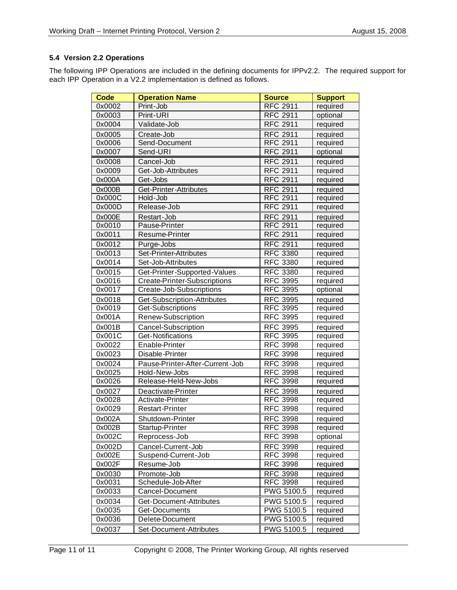# **5.4 Version 2.2 Operations**

The following IPP Operations are included in the defining documents for IPPv2.2. The required support for each IPP Operation in a V2.2 implementation is defined as follows.

| <b>Code</b> | <b>Operation Name</b>               | <b>Source</b>   | <b>Support</b> |
|-------------|-------------------------------------|-----------------|----------------|
| 0x0002      | Print-Job                           | <b>RFC 2911</b> | required       |
| 0x0003      | Print-URI                           | <b>RFC 2911</b> | optional       |
| 0x0004      | Validate-Job                        | <b>RFC 2911</b> | required       |
| 0x0005      | Create-Job                          | <b>RFC 2911</b> | required       |
| 0x0006      | Send-Document                       | <b>RFC 2911</b> | required       |
| 0x0007      | Send-URI                            | <b>RFC 2911</b> | optional       |
| 0x0008      | Cancel-Job                          | <b>RFC 2911</b> | required       |
| 0x0009      | Get-Job-Attributes                  | <b>RFC 2911</b> | required       |
| 0x000A      | Get-Jobs                            | <b>RFC 2911</b> | required       |
| 0x000B      | Get-Printer-Attributes              | <b>RFC 2911</b> | required       |
| 0x000C      | Hold-Job                            | <b>RFC 2911</b> | required       |
| 0x000D      | Release-Job                         | <b>RFC 2911</b> | required       |
| 0x000E      | Restart-Job                         | <b>RFC 2911</b> | required       |
| 0x0010      | Pause-Printer                       | <b>RFC 2911</b> | required       |
| 0x0011      | Resume-Printer                      | <b>RFC 2911</b> | required       |
| 0x0012      | Purge-Jobs                          | <b>RFC 2911</b> | required       |
| 0x0013      | Set-Printer-Attributes              | <b>RFC 3380</b> | required       |
| 0x0014      | Set-Job-Attributes                  | <b>RFC 3380</b> | required       |
| 0x0015      | Get-Printer-Supported-Values        | <b>RFC 3380</b> | required       |
| 0x0016      | <b>Create-Printer-Subscriptions</b> | <b>RFC 3995</b> | required       |
| 0x0017      | Create-Job-Subscriptions            | <b>RFC 3995</b> | optional       |
| 0x0018      | Get-Subscription-Attributes         | <b>RFC 3995</b> | required       |
| 0x0019      | Get-Subscriptions                   | <b>RFC 3995</b> | required       |
| 0x001A      | Renew-Subscription                  | <b>RFC 3995</b> | required       |
| 0x001B      | Cancel-Subscription                 | <b>RFC 3995</b> | required       |
| 0x001C      | Get-Notifications                   | <b>RFC 3995</b> | required       |
| 0x0022      | Enable-Printer                      | <b>RFC 3998</b> | required       |
| 0x0023      | Disable-Printer                     | <b>RFC 3998</b> | required       |
| 0x0024      | Pause-Printer-After-Current-Job     | <b>RFC 3998</b> | required       |
| 0x0025      | Hold-New-Jobs                       | <b>RFC 3998</b> | required       |
| 0x0026      | Release-Held-New-Jobs               | <b>RFC 3998</b> | required       |
| 0x0027      | Deactivate-Printer                  | <b>RFC 3998</b> | required       |
| 0x0028      | Activate-Printer                    | <b>RFC 3998</b> | required       |
| 0x0029      | <b>Restart-Printer</b>              | <b>RFC 3998</b> | required       |
| 0x002A      | Shutdown-Printer                    | <b>RFC 3998</b> | required       |
| 0x002B      | Startup-Printer                     | <b>RFC 3998</b> | required       |
| 0x002C      | Reprocess-Job                       | <b>RFC 3998</b> | optional       |
| 0x002D      | Cancel-Current-Job                  | <b>RFC 3998</b> | required       |
| 0x002E      | Suspend-Current-Job                 | <b>RFC 3998</b> | required       |
| 0x002F      | Resume-Job                          | <b>RFC 3998</b> | required       |
| 0x0030      | Promote-Job                         | <b>RFC 3998</b> | required       |
| 0x0031      | Schedule-Job-After                  | <b>RFC 3998</b> | required       |
| 0x0033      | Cancel-Document                     | PWG 5100.5      | required       |
| 0x0034      | Get-Document-Attributes             | PWG 5100.5      | required       |
| 0x0035      | Get-Documents                       | PWG 5100.5      | required       |
| 0x0036      | Delete-Document                     | PWG 5100.5      | required       |
| 0x0037      | Set-Document-Attributes             | PWG 5100.5      | required       |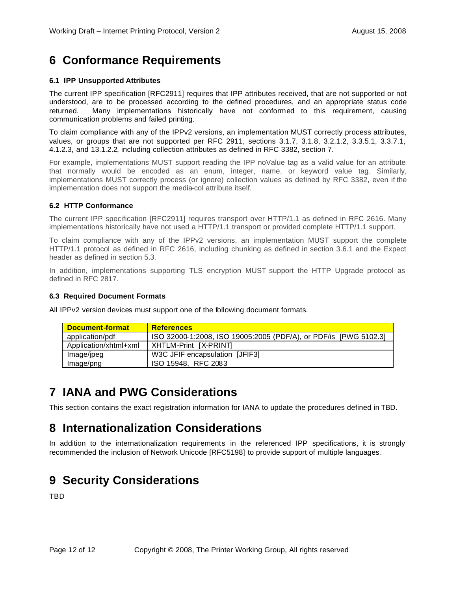# **6 Conformance Requirements**

# **6.1 IPP Unsupported Attributes**

The current IPP specification [RFC2911] requires that IPP attributes received, that are not supported or not understood, are to be processed according to the defined procedures, and an appropriate status code returned. Many implementations historically have not conformed to this requirement, causing communication problems and failed printing.

To claim compliance with any of the IPPv2 versions, an implementation MUST correctly process attributes, values, or groups that are not supported per RFC 2911, sections 3.1.7, 3.1.8, 3.2.1.2, 3.3.5.1, 3.3.7.1, 4.1.2.3, and 13.1.2.2, including collection attributes as defined in RFC 3382, section 7.

For example, implementations MUST support reading the IPP noValue tag as a valid value for an attribute that normally would be encoded as an enum, integer, name, or keyword value tag. Similarly, implementations MUST correctly process (or ignore) collection values as defined by RFC 3382, even if the implementation does not support the media-col attribute itself.

# **6.2 HTTP Conformance**

The current IPP specification [RFC2911] requires transport over HTTP/1.1 as defined in RFC 2616. Many implementations historically have not used a HTTP/1.1 transport or provided complete HTTP/1.1 support.

To claim compliance with any of the IPPv2 versions, an implementation MUST support the complete HTTP/1.1 protocol as defined in RFC 2616, including chunking as defined in section 3.6.1 and the Expect header as defined in section 5.3.

In addition, implementations supporting TLS encryption MUST support the HTTP Upgrade protocol as defined in RFC 2817.

# **6.3 Required Document Formats**

All IPPv2 version devices must support one of the following document formats.

| <b>Document-format</b> | <b>References</b>                                                |
|------------------------|------------------------------------------------------------------|
| application/pdf        | ISO 32000-1:2008, ISO 19005:2005 (PDF/A), or PDF/is [PWG 5102.3] |
| Application/xhtml+xml  | XHTLM-Print [X-PRINT]                                            |
| Image/jpeg             | W3C JFIF encapsulation [JFIF3]                                   |
| Image/png              | ISO 15948. RFC 2083                                              |

# **7 IANA and PWG Considerations**

This section contains the exact registration information for IANA to update the procedures defined in TBD.

# **8 Internationalization Considerations**

In addition to the internationalization requirements in the referenced IPP specifications, it is strongly recommended the inclusion of Network Unicode [RFC5198] to provide support of multiple languages.

# **9 Security Considerations**

TBD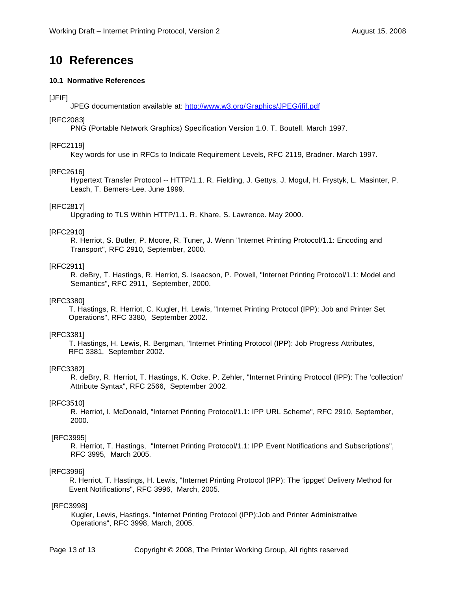# **10 References**

### **10.1 Normative References**

# [JFIF]

JPEG documentation available at: http://www.w3.org/Graphics/JPEG/jfif.pdf

### [RFC2083]

PNG (Portable Network Graphics) Specification Version 1.0. T. Boutell. March 1997.

### [RFC2119]

Key words for use in RFCs to Indicate Requirement Levels, RFC 2119, Bradner. March 1997.

#### [RFC2616]

Hypertext Transfer Protocol -- HTTP/1.1. R. Fielding, J. Gettys, J. Mogul, H. Frystyk, L. Masinter, P. Leach, T. Berners-Lee. June 1999.

# [RFC2817]

Upgrading to TLS Within HTTP/1.1. R. Khare, S. Lawrence. May 2000.

#### [RFC2910]

R. Herriot, S. Butler, P. Moore, R. Tuner, J. Wenn "Internet Printing Protocol/1.1: Encoding and Transport", RFC 2910, September, 2000.

# [RFC2911]

R. deBry, T. Hastings, R. Herriot, S. Isaacson, P. Powell, "Internet Printing Protocol/1.1: Model and Semantics", RFC 2911, September, 2000.

#### [RFC3380]

 T. Hastings, R. Herriot, C. Kugler, H. Lewis, "Internet Printing Protocol (IPP): Job and Printer Set Operations", RFC 3380, September 2002.

# [RFC3381]

 T. Hastings, H. Lewis, R. Bergman, "Internet Printing Protocol (IPP): Job Progress Attributes, RFC 3381, September 2002.

#### [RFC3382]

R. deBry, R. Herriot, T. Hastings, K. Ocke, P. Zehler, "Internet Printing Protocol (IPP): The 'collection' Attribute Syntax", RFC 2566, September 2002.

# [RFC3510]

R. Herriot, I. McDonald, "Internet Printing Protocol/1.1: IPP URL Scheme", RFC 2910, September, 2000.

# [RFC3995]

R. Herriot, T. Hastings, "Internet Printing Protocol/1.1: IPP Event Notifications and Subscriptions", RFC 3995, March 2005.

# [RFC3996]

 R. Herriot, T. Hastings, H. Lewis, "Internet Printing Protocol (IPP): The 'ippget' Delivery Method for Event Notifications", RFC 3996, March, 2005.

#### [RFC3998]

 Kugler, Lewis, Hastings. "Internet Printing Protocol (IPP):Job and Printer Administrative Operations", RFC 3998, March, 2005.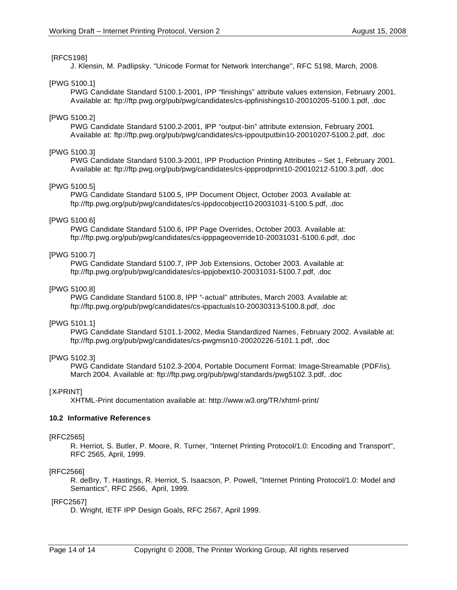#### [RFC5198]

J. Klensin, M. Padlipsky. "Unicode Format for Network Interchange", RFC 5198, March, 2008.

#### [PWG 5100.1]

PWG Candidate Standard 5100.1-2001, IPP "finishings" attribute values extension, February 2001. Available at: ftp://ftp.pwg.org/pub/pwg/candidates/cs-ippfinishings10-20010205-5100.1.pdf, .doc

#### [PWG 5100.2]

PWG Candidate Standard 5100.2-2001, IPP "output-bin" attribute extension, February 2001. Available at: ftp://ftp.pwg.org/pub/pwg/candidates/cs-ippoutputbin10-20010207-5100.2.pdf, .doc

#### [PWG 5100.3]

PWG Candidate Standard 5100.3-2001, IPP Production Printing Attributes – Set 1, February 2001. Available at: ftp://ftp.pwg.org/pub/pwg/candidates/cs-ippprodprint10-20010212-5100.3.pdf, .doc

#### [PWG 5100.5]

PWG Candidate Standard 5100.5, IPP Document Object, October 2003. Available at: ftp://ftp.pwg.org/pub/pwg/candidates/cs-ippdocobject10-20031031-5100.5.pdf, .doc

### [PWG 5100.6]

PWG Candidate Standard 5100.6, IPP Page Overrides, October 2003. Available at: ftp://ftp.pwg.org/pub/pwg/candidates/cs-ipppageoverride10-20031031-5100.6.pdf, .doc

#### [PWG 5100.7]

PWG Candidate Standard 5100.7, IPP Job Extensions, October 2003. Available at: ftp://ftp.pwg.org/pub/pwg/candidates/cs-ippjobext10-20031031-5100.7.pdf, .doc

#### [PWG 5100.8]

PWG Candidate Standard 5100.8, IPP "-actual" attributes, March 2003. Available at: ftp://ftp.pwg.org/pub/pwg/candidates/cs-ippactuals10-20030313-5100.8.pdf, .doc

#### [PWG 5101.1]

PWG Candidate Standard 5101.1-2002, Media Standardized Names, February 2002. Available at: ftp://ftp.pwg.org/pub/pwg/candidates/cs-pwgmsn10-20020226-5101.1.pdf, .doc

# [PWG 5102.3]

PWG Candidate Standard 5102.3-2004, Portable Document Format: Image-Streamable (PDF/is), March 2004. Available at: ftp://ftp.pwg.org/pub/pwg/standards/pwg5102.3.pdf, .doc

#### [X-PRINT]

XHTML-Print documentation available at: http://www.w3.org/TR/xhtml-print/

#### **10.2 Informative References**

#### [RFC2565]

R. Herriot, S. Butler, P. Moore, R. Turner, "Internet Printing Protocol/1.0: Encoding and Transport", RFC 2565, April, 1999.

#### [RFC2566]

R. deBry, T. Hastings, R. Herriot, S. Isaacson, P. Powell, "Internet Printing Protocol/1.0: Model and Semantics", RFC 2566, April, 1999.

#### [RFC2567]

D. Wright, IETF IPP Design Goals, RFC 2567, April 1999.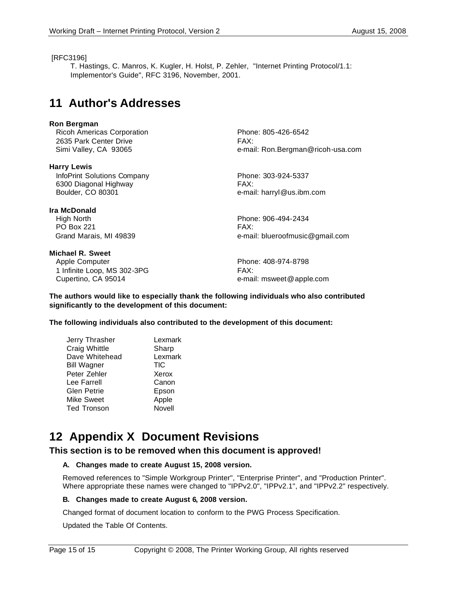#### [RFC3196]

T. Hastings, C. Manros, K. Kugler, H. Holst, P. Zehler, "Internet Printing Protocol/1.1: Implementor's Guide", RFC 3196, November, 2001.

# **11 Author's Addresses**

#### **Ron Bergman**

Ricoh Americas Corporation **Phone: 805-426-6542** 2635 Park Center Drive **FAX:** 

**Harry Lewis**

InfoPrint Solutions Company Phone: 303-924-5337 6300 Diagonal Highway FAX: Boulder, CO 80301 e-mail: harryl@us.ibm.com

#### **Ira McDonald**

 High North Phone: 906-494-2434 PO Box 221 FAX:

**Michael R. Sweet** Apple Computer **Phone: 408-974-8798** 1 Infinite Loop, MS 302-3PG FAX: Cupertino, CA 95014 **E-Mail:** msweet @apple.com

Simi Valley, CA 93065 e-mail: Ron.Bergman@ricoh-usa.com

Grand Marais, MI 49839 e-mail: blueroofmusic@gmail.com

**The authors would like to especially thank the following individuals who also contributed significantly to the development of this document:**

**The following individuals also contributed to the development of this document:**

| Jerry Thrasher     | Lexmark    |
|--------------------|------------|
| Craig Whittle      | Sharp      |
| Dave Whitehead     | Lexmark    |
| <b>Bill Wagner</b> | <b>TIC</b> |
| Peter Zehler       | Xerox      |
| Lee Farrell        | Canon      |
| Glen Petrie        | Epson      |
| Mike Sweet         | Apple      |
| Ted Tronson        | Novell     |
|                    |            |

# **12 Appendix X Document Revisions**

# **This section is to be removed when this document is approved!**

#### **A. Changes made to create August 15, 2008 version.**

Removed references to "Simple Workgroup Printer", "Enterprise Printer", and "Production Printer". Where appropriate these names were changed to "IPPv2.0", "IPPv2.1", and "IPPv2.2" respectively.

#### **B. Changes made to create August 6, 2008 version.**

Changed format of document location to conform to the PWG Process Specification.

Updated the Table Of Contents.